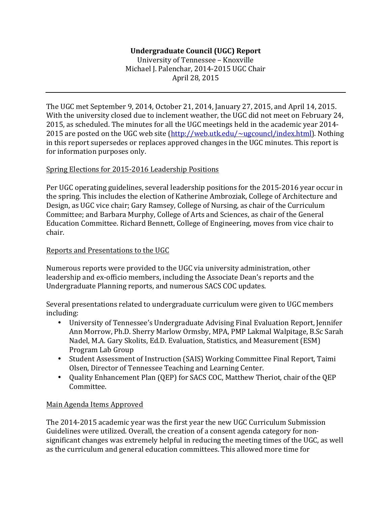# **Undergraduate Council (UGC) Report**

University of Tennessee - Knoxville Michael J. Palenchar, 2014-2015 UGC Chair April 28, 2015

The UGC met September 9, 2014, October 21, 2014, January 27, 2015, and April 14, 2015. With the university closed due to inclement weather, the UGC did not meet on February 24, 2015, as scheduled. The minutes for all the UGC meetings held in the academic year 2014-2015 are posted on the UGC web site  $(\frac{http://web.utk.edu/~ugcount/index.html)}$ . Nothing in this report supersedes or replaces approved changes in the UGC minutes. This report is for information purposes only.

#### Spring Elections for 2015-2016 Leadership Positions

Per UGC operating guidelines, several leadership positions for the 2015-2016 year occur in the spring. This includes the election of Katherine Ambroziak, College of Architecture and Design, as UGC vice chair; Gary Ramsey, College of Nursing, as chair of the Curriculum Committee; and Barbara Murphy, College of Arts and Sciences, as chair of the General Education Committee. Richard Bennett, College of Engineering, moves from vice chair to chair. 

### Reports and Presentations to the UGC

Numerous reports were provided to the UGC via university administration, other leadership and ex-officio members, including the Associate Dean's reports and the Undergraduate Planning reports, and numerous SACS COC updates.

Several presentations related to undergraduate curriculum were given to UGC members including:

- University of Tennessee's Undergraduate Advising Final Evaluation Report, Jennifer Ann Morrow, Ph.D. Sherry Marlow Ormsby, MPA, PMP Lakmal Walpitage, B.Sc Sarah Nadel, M.A. Gary Skolits, Ed.D. Evaluation, Statistics, and Measurement (ESM) Program Lab Group
- Student Assessment of Instruction (SAIS) Working Committee Final Report, Taimi Olsen, Director of Tennessee Teaching and Learning Center.
- Quality Enhancement Plan (QEP) for SACS COC, Matthew Theriot, chair of the QEP Committee.

## Main Agenda Items Approved

The 2014-2015 academic year was the first year the new UGC Curriculum Submission Guidelines were utilized. Overall, the creation of a consent agenda category for nonsignificant changes was extremely helpful in reducing the meeting times of the UGC, as well as the curriculum and general education committees. This allowed more time for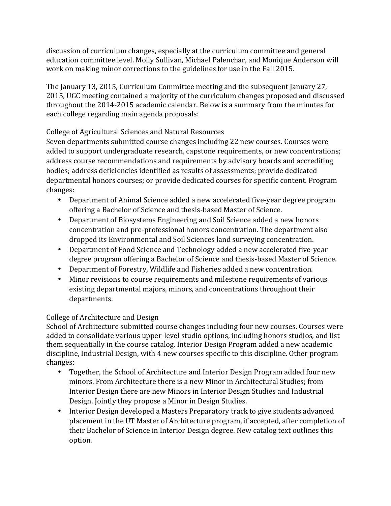discussion of curriculum changes, especially at the curriculum committee and general education committee level. Molly Sullivan, Michael Palenchar, and Monique Anderson will work on making minor corrections to the guidelines for use in the Fall 2015.

The January 13, 2015, Curriculum Committee meeting and the subsequent January 27, 2015, UGC meeting contained a majority of the curriculum changes proposed and discussed throughout the 2014-2015 academic calendar. Below is a summary from the minutes for each college regarding main agenda proposals:

# College of Agricultural Sciences and Natural Resources

Seven departments submitted course changes including 22 new courses. Courses were added to support undergraduate research, capstone requirements, or new concentrations; address course recommendations and requirements by advisory boards and accrediting bodies; address deficiencies identified as results of assessments; provide dedicated departmental honors courses; or provide dedicated courses for specific content. Program changes:

- Department of Animal Science added a new accelerated five-year degree program offering a Bachelor of Science and thesis-based Master of Science.
- Department of Biosystems Engineering and Soil Science added a new honors concentration and pre-professional honors concentration. The department also dropped its Environmental and Soil Sciences land surveying concentration.
- Department of Food Science and Technology added a new accelerated five-year degree program offering a Bachelor of Science and thesis-based Master of Science.
- Department of Forestry, Wildlife and Fisheries added a new concentration.
- Minor revisions to course requirements and milestone requirements of various existing departmental majors, minors, and concentrations throughout their departments.

# College of Architecture and Design

School of Architecture submitted course changes including four new courses. Courses were added to consolidate various upper-level studio options, including honors studios, and list them sequentially in the course catalog. Interior Design Program added a new academic discipline, Industrial Design, with 4 new courses specific to this discipline. Other program changes:

- Together, the School of Architecture and Interior Design Program added four new minors. From Architecture there is a new Minor in Architectural Studies; from Interior Design there are new Minors in Interior Design Studies and Industrial Design. Jointly they propose a Minor in Design Studies.
- Interior Design developed a Masters Preparatory track to give students advanced placement in the UT Master of Architecture program, if accepted, after completion of their Bachelor of Science in Interior Design degree. New catalog text outlines this option.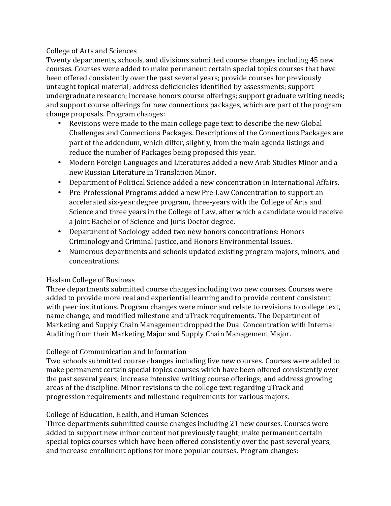## College of Arts and Sciences

Twenty departments, schools, and divisions submitted course changes including 45 new courses. Courses were added to make permanent certain special topics courses that have been offered consistently over the past several years; provide courses for previously untaught topical material; address deficiencies identified by assessments; support undergraduate research; increase honors course offerings; support graduate writing needs; and support course offerings for new connections packages, which are part of the program change proposals. Program changes:

- Revisions were made to the main college page text to describe the new Global Challenges and Connections Packages. Descriptions of the Connections Packages are part of the addendum, which differ, slightly, from the main agenda listings and reduce the number of Packages being proposed this year.
- Modern Foreign Languages and Literatures added a new Arab Studies Minor and a new Russian Literature in Translation Minor.
- Department of Political Science added a new concentration in International Affairs.
- Pre-Professional Programs added a new Pre-Law Concentration to support an accelerated six-year degree program, three-years with the College of Arts and Science and three years in the College of Law, after which a candidate would receive a joint Bachelor of Science and Juris Doctor degree.
- Department of Sociology added two new honors concentrations: Honors Criminology and Criminal Justice, and Honors Environmental Issues.
- Numerous departments and schools updated existing program majors, minors, and concentrations.

# Haslam College of Business

Three departments submitted course changes including two new courses. Courses were added to provide more real and experiential learning and to provide content consistent with peer institutions. Program changes were minor and relate to revisions to college text, name change, and modified milestone and uTrack requirements. The Department of Marketing and Supply Chain Management dropped the Dual Concentration with Internal Auditing from their Marketing Major and Supply Chain Management Major.

# College of Communication and Information

Two schools submitted course changes including five new courses. Courses were added to make permanent certain special topics courses which have been offered consistently over the past several years; increase intensive writing course offerings; and address growing areas of the discipline. Minor revisions to the college text regarding uTrack and progression requirements and milestone requirements for various majors.

# College of Education, Health, and Human Sciences

Three departments submitted course changes including 21 new courses. Courses were added to support new minor content not previously taught; make permanent certain special topics courses which have been offered consistently over the past several years; and increase enrollment options for more popular courses. Program changes: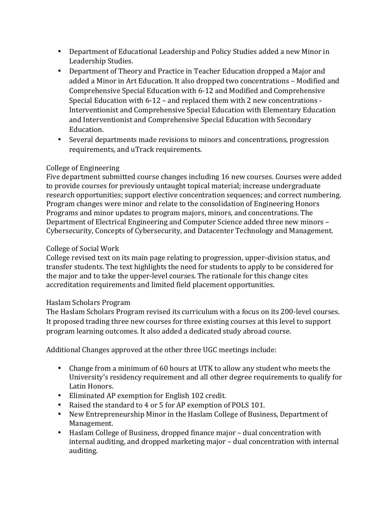- Department of Educational Leadership and Policy Studies added a new Minor in Leadership Studies.
- Department of Theory and Practice in Teacher Education dropped a Major and added a Minor in Art Education. It also dropped two concentrations - Modified and Comprehensive Special Education with 6-12 and Modified and Comprehensive Special Education with  $6-12$  – and replaced them with 2 new concentrations -Interventionist and Comprehensive Special Education with Elementary Education and Interventionist and Comprehensive Special Education with Secondary Education.
- Several departments made revisions to minors and concentrations, progression requirements, and uTrack requirements.

# College of Engineering

Five department submitted course changes including 16 new courses. Courses were added to provide courses for previously untaught topical material; increase undergraduate research opportunities; support elective concentration sequences; and correct numbering. Program changes were minor and relate to the consolidation of Engineering Honors Programs and minor updates to program majors, minors, and concentrations. The Department of Electrical Engineering and Computer Science added three new minors – Cybersecurity, Concepts of Cybersecurity, and Datacenter Technology and Management.

# College of Social Work

College revised text on its main page relating to progression, upper-division status, and transfer students. The text highlights the need for students to apply to be considered for the major and to take the upper-level courses. The rationale for this change cites accreditation requirements and limited field placement opportunities.

## Haslam Scholars Program

The Haslam Scholars Program revised its curriculum with a focus on its 200-level courses. It proposed trading three new courses for three existing courses at this level to support program learning outcomes. It also added a dedicated study abroad course.

Additional Changes approved at the other three UGC meetings include:

- Change from a minimum of 60 hours at UTK to allow any student who meets the University's residency requirement and all other degree requirements to qualify for Latin Honors.
- Eliminated AP exemption for English 102 credit.
- Raised the standard to 4 or 5 for AP exemption of POLS 101.
- New Entrepreneurship Minor in the Haslam College of Business, Department of Management.
- Haslam College of Business, dropped finance major dual concentration with internal auditing, and dropped marketing major - dual concentration with internal auditing.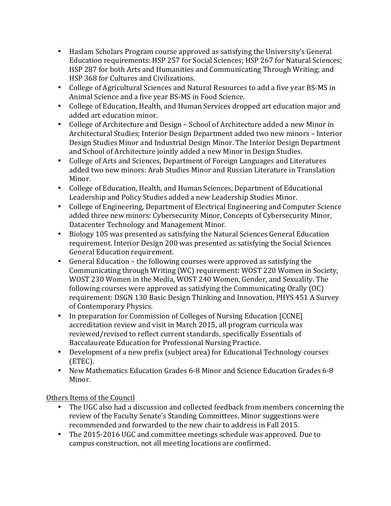- Haslam Scholars Program course approved as satisfying the University's General Education requirements: HSP 257 for Social Sciences; HSP 267 for Natural Sciences; HSP 287 for both Arts and Humanities and Communicating Through Writing; and HSP 368 for Cultures and Civilizations.
- College of Agricultural Sciences and Natural Resources to add a five year BS-MS in Animal Science and a five year BS-MS in Food Science.
- College of Education, Health, and Human Services dropped art education major and added art education minor.
- College of Architecture and Design School of Architecture added a new Minor in Architectural Studies; Interior Design Department added two new minors - Interior Design Studies Minor and Industrial Design Minor. The Interior Design Department and School of Architecture jointly added a new Minor in Design Studies.
- College of Arts and Sciences, Department of Foreign Languages and Literatures added two new minors: Arab Studies Minor and Russian Literature in Translation Minor.
- College of Education, Health, and Human Sciences, Department of Educational Leadership and Policy Studies added a new Leadership Studies Minor.
- College of Engineering, Department of Electrical Engineering and Computer Science added three new minors: Cybersecurity Minor, Concepts of Cybersecurity Minor, Datacenter Technology and Management Minor.
- Biology 105 was presented as satisfying the Natural Sciences General Education requirement. Interior Design 200 was presented as satisfying the Social Sciences General Education requirement.
- General Education the following courses were approved as satisfying the Communicating through Writing (WC) requirement: WOST 220 Women in Society, WOST 230 Women in the Media, WOST 240 Women, Gender, and Sexuality. The following courses were approved as satisfying the Communicating Orally  $(OC)$ requirement: DSGN 130 Basic Design Thinking and Innovation, PHYS 451 A Survey of Contemporary Physics.
- In preparation for Commission of Colleges of Nursing Education [CCNE] accreditation review and visit in March 2015, all program curricula was reviewed/revised to reflect current standards, specifically Essentials of Baccalaureate Education for Professional Nursing Practice.
- Development of a new prefix (subject area) for Educational Technology courses (ETEC).
- New Mathematics Education Grades 6-8 Minor and Science Education Grades 6-8 Minor.

Others Items of the Council

- The UGC also had a discussion and collected feedback from members concerning the review of the Faculty Senate's Standing Committees. Minor suggestions were recommended and forwarded to the new chair to address in Fall 2015.
- The 2015-2016 UGC and committee meetings schedule was approved. Due to campus construction, not all meeting locations are confirmed.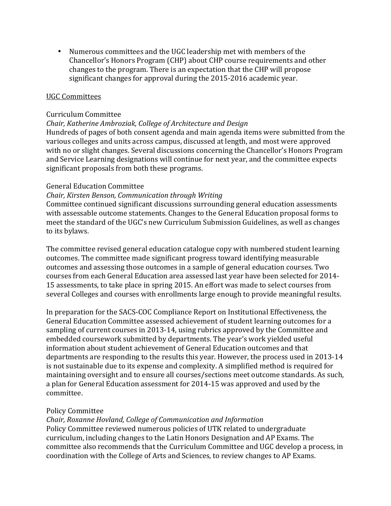• Numerous committees and the UGC leadership met with members of the Chancellor's Honors Program (CHP) about CHP course requirements and other changes to the program. There is an expectation that the CHP will propose significant changes for approval during the 2015-2016 academic year.

#### UGC Committees

#### Curriculum Committee

#### *Chair, Katherine Ambroziak, College of Architecture and Design*

Hundreds of pages of both consent agenda and main agenda items were submitted from the various colleges and units across campus, discussed at length, and most were approved with no or slight changes. Several discussions concerning the Chancellor's Honors Program and Service Learning designations will continue for next year, and the committee expects significant proposals from both these programs.

#### General Education Committee

#### *Chair, Kirsten Benson, Communication through Writing*

Committee continued significant discussions surrounding general education assessments with assessable outcome statements. Changes to the General Education proposal forms to meet the standard of the UGC's new Curriculum Submission Guidelines, as well as changes to its bylaws.

The committee revised general education catalogue copy with numbered student learning outcomes. The committee made significant progress toward identifying measurable outcomes and assessing those outcomes in a sample of general education courses. Two courses from each General Education area assessed last year have been selected for 2014-15 assessments, to take place in spring 2015. An effort was made to select courses from several Colleges and courses with enrollments large enough to provide meaningful results.

In preparation for the SACS-COC Compliance Report on Institutional Effectiveness, the General Education Committee assessed achievement of student learning outcomes for a sampling of current courses in 2013-14, using rubrics approved by the Committee and embedded coursework submitted by departments. The year's work yielded useful information about student achievement of General Education outcomes and that departments are responding to the results this year. However, the process used in 2013-14 is not sustainable due to its expense and complexity. A simplified method is required for maintaining oversight and to ensure all courses/sections meet outcome standards. As such, a plan for General Education assessment for 2014-15 was approved and used by the committee.

#### Policy Committee

## *Chair, Roxanne Hovland, College of Communication and Information*

Policy Committee reviewed numerous policies of UTK related to undergraduate curriculum, including changes to the Latin Honors Designation and AP Exams. The committee also recommends that the Curriculum Committee and UGC develop a process, in coordination with the College of Arts and Sciences, to review changes to AP Exams.